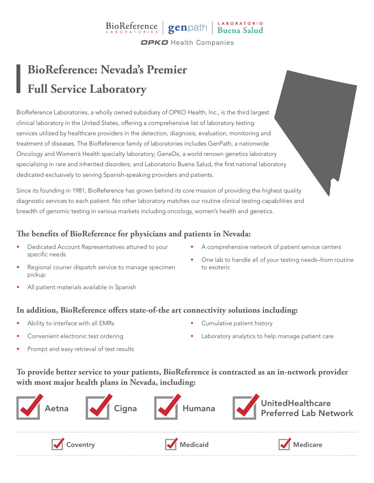### BioReference genpath Buena Salud **OPKO** Health Companies

## **BioReference: Nevada's Premier Full Service Laboratory**

BioReference Laboratories, a wholly owned subsidiary of OPKO Health, Inc., is the third largest clinical laboratory in the United States, offering a comprehensive list of laboratory testing services utilized by healthcare providers in the detection, diagnosis, evaluation, monitoring and treatment of diseases. The BioReference family of laboratories includes GenPath, a nationwide Oncology and Women's Health specialty laboratory; GeneDx, a world renown genetics laboratory specializing in rare and inherited disorders; and Laboratorio Buena Salud, the first national laboratory dedicated exclusively to serving Spanish-speaking providers and patients.

Since its founding in 1981, BioReference has grown behind its core mission of providing the highest quality diagnostic services to each patient. No other laboratory matches our routine clinical testing capabilities and breadth of genomic testing in various markets including oncology, women's health and genetics.

#### **The benefits of BioReference for physicians and patients in Nevada:**

- Dedicated Account Representatives attuned to your specific needs
- A comprehensive network of patient service centers

• One lab to handle all of your testing needs–from routine

- Regional courier dispatch service to manage specimen pickup
- All patient materials available in Spanish

#### **In addition, BioReference offers state-of-the art connectivity solutions including:**

- Ability to interface with all EMRs
- Convenient electronic test ordering

• Cumulative patient history

to esoteric

Laboratory analytics to help manage patient care

Prompt and easy retrieval of test results

#### **To provide better service to your patients, BioReference is contracted as an in-network provider with most major health plans in Nevada, including:**